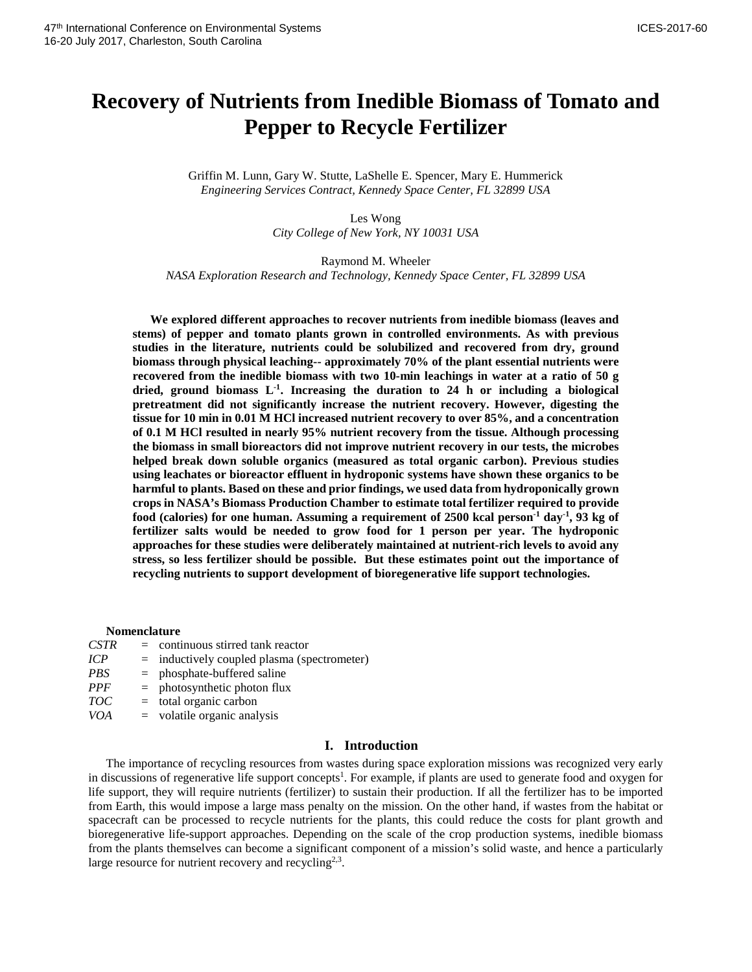# **Recovery of Nutrients from Inedible Biomass of Tomato and Pepper to Recycle Fertilizer**

Griffin M. Lunn, Gary W. Stutte, LaShelle E. Spencer, Mary E. Hummerick *Engineering Services Contract, Kennedy Space Center, FL 32899 USA* 

> Les Wong *City College of New York, NY 10031 USA*

Raymond M. Wheeler *NASA Exploration Research and Technology, Kennedy Space Center, FL 32899 USA*

**We explored different approaches to recover nutrients from inedible biomass (leaves and stems) of pepper and tomato plants grown in controlled environments. As with previous studies in the literature, nutrients could be solubilized and recovered from dry, ground biomass through physical leaching-- approximately 70% of the plant essential nutrients were recovered from the inedible biomass with two 10-min leachings in water at a ratio of 50 g dried, ground biomass L-1 . Increasing the duration to 24 h or including a biological pretreatment did not significantly increase the nutrient recovery. However, digesting the tissue for 10 min in 0.01 M HCl increased nutrient recovery to over 85%, and a concentration of 0.1 M HCl resulted in nearly 95% nutrient recovery from the tissue. Although processing the biomass in small bioreactors did not improve nutrient recovery in our tests, the microbes helped break down soluble organics (measured as total organic carbon). Previous studies using leachates or bioreactor effluent in hydroponic systems have shown these organics to be harmful to plants. Based on these and prior findings, we used data from hydroponically grown crops in NASA's Biomass Production Chamber to estimate total fertilizer required to provide food (calories) for one human. Assuming a requirement of 2500 kcal person-1 day-1 , 93 kg of fertilizer salts would be needed to grow food for 1 person per year. The hydroponic approaches for these studies were deliberately maintained at nutrient-rich levels to avoid any stress, so less fertilizer should be possible. But these estimates point out the importance of recycling nutrients to support development of bioregenerative life support technologies.** 

#### **Nomenclature**

| <b>CSTR</b> | $=$ continuous stirred tank reactor           |
|-------------|-----------------------------------------------|
| <b>ICP</b>  | $=$ inductively coupled plasma (spectrometer) |
| PBS         | $=$ phosphate-buffered saline                 |
| <b>PPF</b>  | $=$ photosynthetic photon flux                |
| TOC         | $=$ total organic carbon                      |
| <i>VOA</i>  | $=$ volatile organic analysis                 |

# **I. Introduction**

The importance of recycling resources from wastes during space exploration missions was recognized very early in discussions of regenerative life support concepts<sup>1</sup>. For example, if plants are used to generate food and oxygen for life support, they will require nutrients (fertilizer) to sustain their production. If all the fertilizer has to be imported from Earth, this would impose a large mass penalty on the mission. On the other hand, if wastes from the habitat or spacecraft can be processed to recycle nutrients for the plants, this could reduce the costs for plant growth and bioregenerative life-support approaches. Depending on the scale of the crop production systems, inedible biomass from the plants themselves can become a significant component of a mission's solid waste, and hence a particularly large resource for nutrient recovery and recycling<sup>2,3</sup>.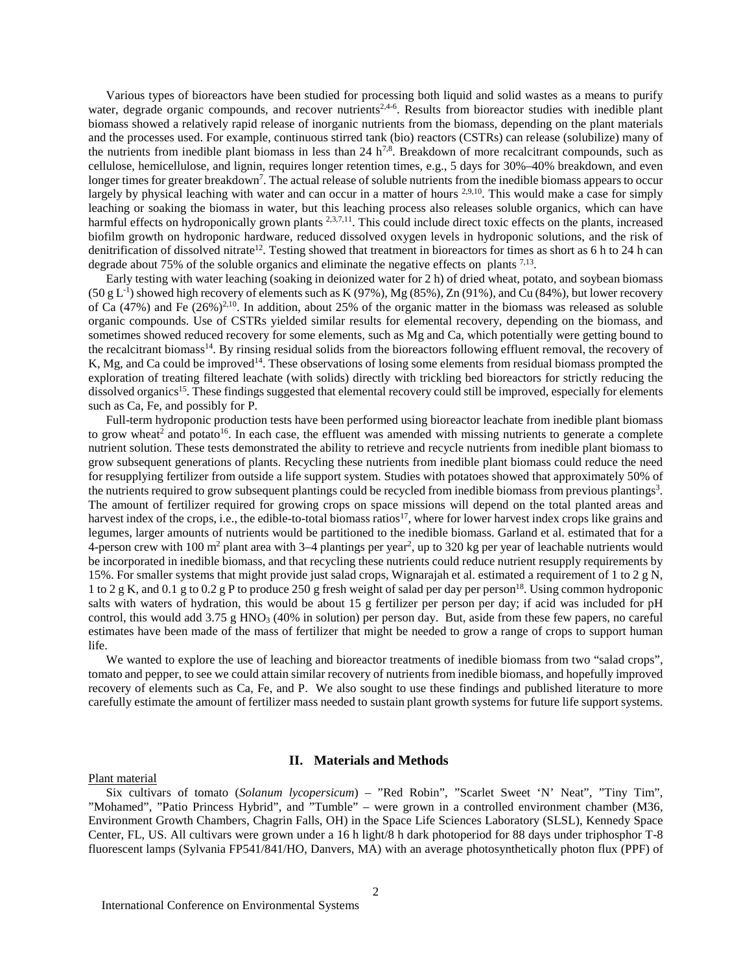Various types of bioreactors have been studied for processing both liquid and solid wastes as a means to purify water, degrade organic compounds, and recover nutrients<sup>2,4-6</sup>. Results from bioreactor studies with inedible plant biomass showed a relatively rapid release of inorganic nutrients from the biomass, depending on the plant materials and the processes used. For example, continuous stirred tank (bio) reactors (CSTRs) can release (solubilize) many of the nutrients from inedible plant biomass in less than 24  $h^{7,8}$ . Breakdown of more recalcitrant compounds, such as cellulose, hemicellulose, and lignin, requires longer retention times, e.g., 5 days for 30%–40% breakdown, and even longer times for greater breakdown<sup>7</sup>. The actual release of soluble nutrients from the inedible biomass appears to occur largely by physical leaching with water and can occur in a matter of hours <sup>2,9,10</sup>. This would make a case for simply leaching or soaking the biomass in water, but this leaching process also releases soluble organics, which can have harmful effects on hydroponically grown plants <sup>2,3,7,11</sup>. This could include direct toxic effects on the plants, increased biofilm growth on hydroponic hardware, reduced dissolved oxygen levels in hydroponic solutions, and the risk of denitrification of dissolved nitrate<sup>12</sup>. Testing showed that treatment in bioreactors for times as short as 6 h to 24 h can degrade about 75% of the soluble organics and eliminate the negative effects on plants  $7.13$ .

Early testing with water leaching (soaking in deionized water for 2 h) of dried wheat, potato, and soybean biomass  $(50 \text{ g L}^{-1})$  showed high recovery of elements such as K (97%), Mg (85%), Zn (91%), and Cu (84%), but lower recovery of Ca (47%) and Fe (26%)<sup>2,10</sup>. In addition, about 25% of the organic matter in the biomass was released as soluble organic compounds. Use of CSTRs yielded similar results for elemental recovery, depending on the biomass, and sometimes showed reduced recovery for some elements, such as Mg and Ca, which potentially were getting bound to the recalcitrant biomass14. By rinsing residual solids from the bioreactors following effluent removal, the recovery of K, Mg, and Ca could be improved<sup>14</sup>. These observations of losing some elements from residual biomass prompted the exploration of treating filtered leachate (with solids) directly with trickling bed bioreactors for strictly reducing the dissolved organics<sup>15</sup>. These findings suggested that elemental recovery could still be improved, especially for elements such as Ca, Fe, and possibly for P.

Full-term hydroponic production tests have been performed using bioreactor leachate from inedible plant biomass to grow wheat<sup>2</sup> and potato<sup>16</sup>. In each case, the effluent was amended with missing nutrients to generate a complete nutrient solution. These tests demonstrated the ability to retrieve and recycle nutrients from inedible plant biomass to grow subsequent generations of plants. Recycling these nutrients from inedible plant biomass could reduce the need for resupplying fertilizer from outside a life support system. Studies with potatoes showed that approximately 50% of the nutrients required to grow subsequent plantings could be recycled from inedible biomass from previous plantings<sup>3</sup>. The amount of fertilizer required for growing crops on space missions will depend on the total planted areas and harvest index of the crops, i.e., the edible-to-total biomass ratios<sup>17</sup>, where for lower harvest index crops like grains and legumes, larger amounts of nutrients would be partitioned to the inedible biomass. Garland et al. estimated that for a 4-person crew with 100 m<sup>2</sup> plant area with 3–4 plantings per year<sup>2</sup>, up to 320 kg per year of leachable nutrients would be incorporated in inedible biomass, and that recycling these nutrients could reduce nutrient resupply requirements by 15%. For smaller systems that might provide just salad crops, Wignarajah et al. estimated a requirement of 1 to 2 g N, 1 to 2 g K, and 0.1 g to 0.2 g P to produce 250 g fresh weight of salad per day per person18. Using common hydroponic salts with waters of hydration, this would be about 15 g fertilizer per person per day; if acid was included for pH control, this would add 3.75 g HNO<sub>3</sub> (40% in solution) per person day. But, aside from these few papers, no careful estimates have been made of the mass of fertilizer that might be needed to grow a range of crops to support human life.

We wanted to explore the use of leaching and bioreactor treatments of inedible biomass from two "salad crops", tomato and pepper, to see we could attain similar recovery of nutrients from inedible biomass, and hopefully improved recovery of elements such as Ca, Fe, and P. We also sought to use these findings and published literature to more carefully estimate the amount of fertilizer mass needed to sustain plant growth systems for future life support systems.

#### **II. Materials and Methods**

#### Plant material

Six cultivars of tomato (*Solanum lycopersicum*) – "Red Robin", "Scarlet Sweet 'N' Neat", "Tiny Tim", "Mohamed", "Patio Princess Hybrid", and "Tumble" – were grown in a controlled environment chamber (M36, Environment Growth Chambers, Chagrin Falls, OH) in the Space Life Sciences Laboratory (SLSL), Kennedy Space Center, FL, US. All cultivars were grown under a 16 h light/8 h dark photoperiod for 88 days under triphosphor T-8 fluorescent lamps (Sylvania FP541/841/HO, Danvers, MA) with an average photosynthetically photon flux (PPF) of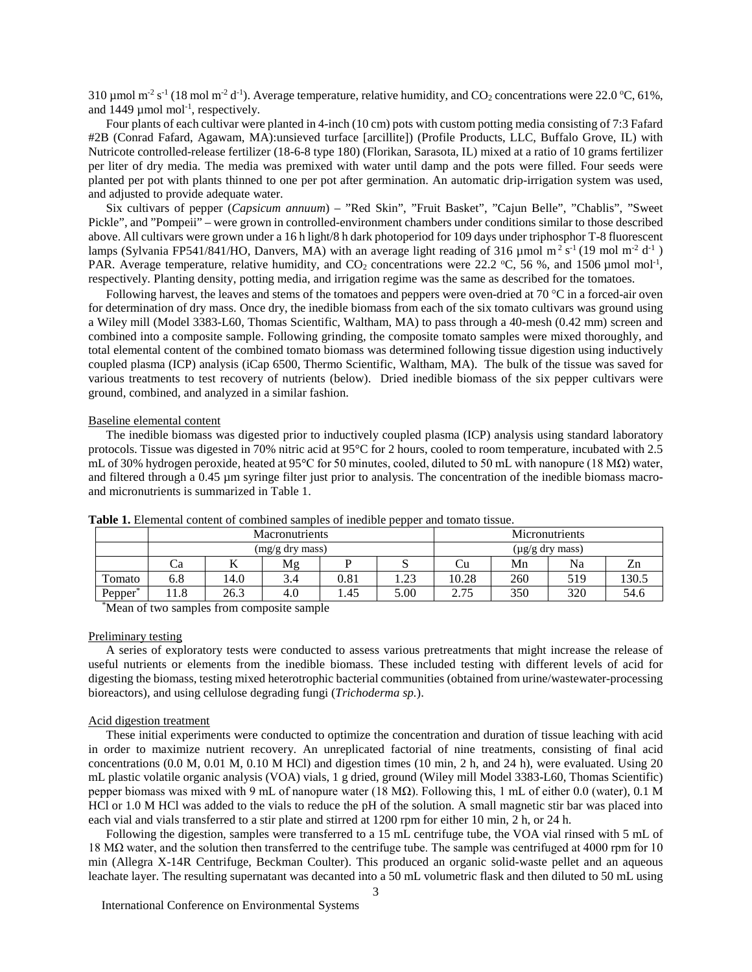310 µmol m<sup>-2</sup> s<sup>-1</sup> (18 mol m<sup>-2</sup> d<sup>-1</sup>). Average temperature, relative humidity, and CO<sub>2</sub> concentrations were 22.0 °C, 61%, and  $1449 \mu$  mol mol<sup>-1</sup>, respectively.

Four plants of each cultivar were planted in 4-inch (10 cm) pots with custom potting media consisting of 7:3 Fafard #2B (Conrad Fafard, Agawam, MA):unsieved turface [arcillite]) (Profile Products, LLC, Buffalo Grove, IL) with Nutricote controlled-release fertilizer (18-6-8 type 180) (Florikan, Sarasota, IL) mixed at a ratio of 10 grams fertilizer per liter of dry media. The media was premixed with water until damp and the pots were filled. Four seeds were planted per pot with plants thinned to one per pot after germination. An automatic drip-irrigation system was used, and adjusted to provide adequate water.

Six cultivars of pepper (*Capsicum annuum*) – "Red Skin", "Fruit Basket", "Cajun Belle", "Chablis", "Sweet Pickle", and "Pompeii" – were grown in controlled-environment chambers under conditions similar to those described above. All cultivars were grown under a 16 h light/8 h dark photoperiod for 109 days under triphosphor T-8 fluorescent lamps (Sylvania FP541/841/HO, Danvers, MA) with an average light reading of 316 µmol m<sup>2</sup> s<sup>-1</sup> (19 mol m<sup>-2</sup> d<sup>-1</sup>) PAR. Average temperature, relative humidity, and  $CO_2$  concentrations were 22.2 °C, 56 %, and 1506 µmol mol<sup>-1</sup>, respectively. Planting density, potting media, and irrigation regime was the same as described for the tomatoes.

Following harvest, the leaves and stems of the tomatoes and peppers were oven-dried at 70  $\degree$ C in a forced-air oven for determination of dry mass. Once dry, the inedible biomass from each of the six tomato cultivars was ground using a Wiley mill (Model 3383-L60, Thomas Scientific, Waltham, MA) to pass through a 40-mesh (0.42 mm) screen and combined into a composite sample. Following grinding, the composite tomato samples were mixed thoroughly, and total elemental content of the combined tomato biomass was determined following tissue digestion using inductively coupled plasma (ICP) analysis (iCap 6500, Thermo Scientific, Waltham, MA). The bulk of the tissue was saved for various treatments to test recovery of nutrients (below). Dried inedible biomass of the six pepper cultivars were ground, combined, and analyzed in a similar fashion.

#### Baseline elemental content

The inedible biomass was digested prior to inductively coupled plasma (ICP) analysis using standard laboratory protocols. Tissue was digested in 70% nitric acid at 95°C for 2 hours, cooled to room temperature, incubated with 2.5 mL of 30% hydrogen peroxide, heated at 95°C for 50 minutes, cooled, diluted to 50 mL with nanopure (18 MΩ) water, and filtered through a 0.45 µm syringe filter just prior to analysis. The concentration of the inedible biomass macroand micronutrients is summarized in Table 1.

|                     |     |      | <b>Macronutrients</b> |      | Micronutrients       |       |     |     |       |
|---------------------|-----|------|-----------------------|------|----------------------|-------|-----|-----|-------|
|                     |     |      | (mg/g dry mass)       |      | $(\mu g/g$ dry mass) |       |     |     |       |
|                     | Ċа  | T7   | Mg                    |      |                      | Ċu    | Zn  |     |       |
| Tomato              | 6.8 | 14.0 | 3.4                   | 0.81 | າາ<br>ن کے با        | 10.28 | 260 | 519 | 130.5 |
| Pepper <sup>'</sup> | 1.8 | 26.3 | 4.0                   | 1.45 | 5.00                 | 2.75  | 350 | 320 | 54.6  |

**Table 1.** Elemental content of combined samples of inedible pepper and tomato tissue.

\* Mean of two samples from composite sample

# Preliminary testing

A series of exploratory tests were conducted to assess various pretreatments that might increase the release of useful nutrients or elements from the inedible biomass. These included testing with different levels of acid for digesting the biomass, testing mixed heterotrophic bacterial communities (obtained from urine/wastewater-processing bioreactors), and using cellulose degrading fungi (*Trichoderma sp.*).

#### Acid digestion treatment

These initial experiments were conducted to optimize the concentration and duration of tissue leaching with acid in order to maximize nutrient recovery. An unreplicated factorial of nine treatments, consisting of final acid concentrations (0.0 M, 0.01 M, 0.10 M HCl) and digestion times (10 min, 2 h, and 24 h), were evaluated. Using 20 mL plastic volatile organic analysis (VOA) vials, 1 g dried, ground (Wiley mill Model 3383-L60, Thomas Scientific) pepper biomass was mixed with 9 mL of nanopure water (18 MΩ). Following this, 1 mL of either 0.0 (water), 0.1 M HCl or 1.0 M HCl was added to the vials to reduce the pH of the solution. A small magnetic stir bar was placed into each vial and vials transferred to a stir plate and stirred at 1200 rpm for either 10 min, 2 h, or 24 h.

Following the digestion, samples were transferred to a 15 mL centrifuge tube, the VOA vial rinsed with 5 mL of 18 MΩ water, and the solution then transferred to the centrifuge tube. The sample was centrifuged at 4000 rpm for 10 min (Allegra X-14R Centrifuge, Beckman Coulter). This produced an organic solid-waste pellet and an aqueous leachate layer. The resulting supernatant was decanted into a 50 mL volumetric flask and then diluted to 50 mL using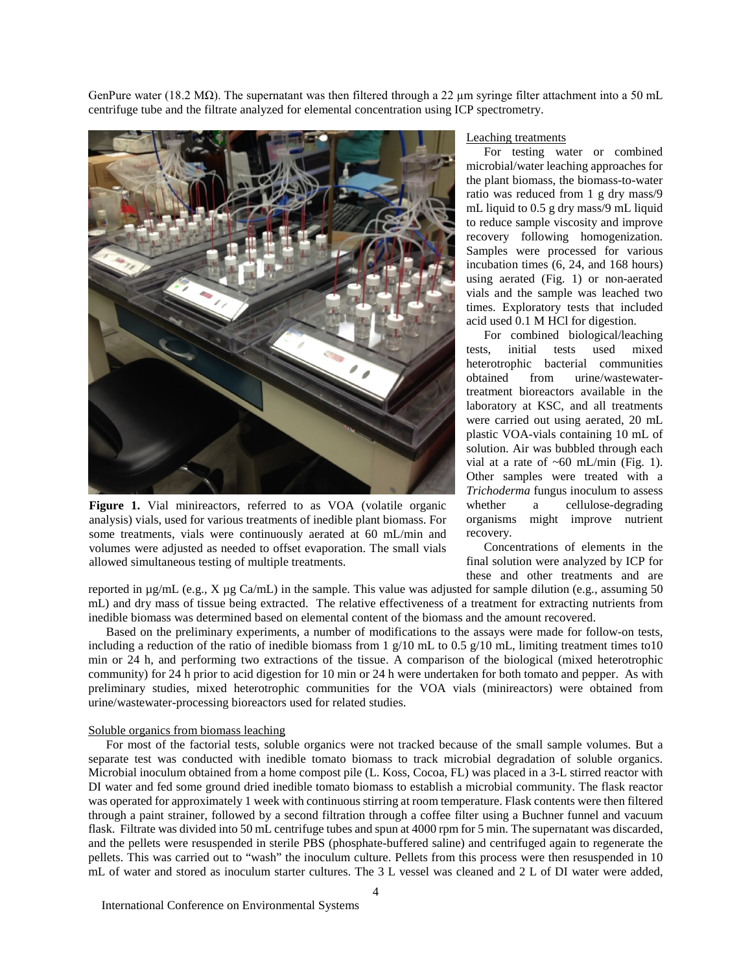GenPure water (18.2 MΩ). The supernatant was then filtered through a 22 µm syringe filter attachment into a 50 mL centrifuge tube and the filtrate analyzed for elemental concentration using ICP spectrometry.



Figure 1. Vial minireactors, referred to as VOA (volatile organic analysis) vials, used for various treatments of inedible plant biomass. For some treatments, vials were continuously aerated at 60 mL/min and volumes were adjusted as needed to offset evaporation. The small vials allowed simultaneous testing of multiple treatments.

#### Leaching treatments

For testing water or combined microbial/water leaching approaches for the plant biomass, the biomass-to-water ratio was reduced from 1 g dry mass/9 mL liquid to 0.5 g dry mass/9 mL liquid to reduce sample viscosity and improve recovery following homogenization. Samples were processed for various incubation times (6, 24, and 168 hours) using aerated (Fig. 1) or non-aerated vials and the sample was leached two times. Exploratory tests that included acid used 0.1 M HCl for digestion.

For combined biological/leaching tests, initial tests used mixed bacterial communities obtained from urine/wastewatertreatment bioreactors available in the laboratory at KSC, and all treatments were carried out using aerated, 20 mL plastic VOA-vials containing 10 mL of solution. Air was bubbled through each vial at a rate of  $~60$  mL/min (Fig. 1). Other samples were treated with a *Trichoderma* fungus inoculum to assess whether a cellulose-degrading organisms might improve nutrient recovery.

Concentrations of elements in the final solution were analyzed by ICP for these and other treatments and are

reported in  $\mu$ g/mL (e.g., X  $\mu$ g Ca/mL) in the sample. This value was adjusted for sample dilution (e.g., assuming 50 mL) and dry mass of tissue being extracted. The relative effectiveness of a treatment for extracting nutrients from inedible biomass was determined based on elemental content of the biomass and the amount recovered.

Based on the preliminary experiments, a number of modifications to the assays were made for follow-on tests, including a reduction of the ratio of inedible biomass from 1  $g/10$  mL to 0.5  $g/10$  mL, limiting treatment times to10 min or 24 h, and performing two extractions of the tissue. A comparison of the biological (mixed heterotrophic community) for 24 h prior to acid digestion for 10 min or 24 h were undertaken for both tomato and pepper. As with preliminary studies, mixed heterotrophic communities for the VOA vials (minireactors) were obtained from urine/wastewater-processing bioreactors used for related studies.

### Soluble organics from biomass leaching

For most of the factorial tests, soluble organics were not tracked because of the small sample volumes. But a separate test was conducted with inedible tomato biomass to track microbial degradation of soluble organics. Microbial inoculum obtained from a home compost pile (L. Koss, Cocoa, FL) was placed in a 3-L stirred reactor with DI water and fed some ground dried inedible tomato biomass to establish a microbial community. The flask reactor was operated for approximately 1 week with continuous stirring at room temperature. Flask contents were then filtered through a paint strainer, followed by a second filtration through a coffee filter using a Buchner funnel and vacuum flask. Filtrate was divided into 50 mL centrifuge tubes and spun at 4000 rpm for 5 min. The supernatant was discarded, and the pellets were resuspended in sterile PBS (phosphate-buffered saline) and centrifuged again to regenerate the pellets. This was carried out to "wash" the inoculum culture. Pellets from this process were then resuspended in 10 mL of water and stored as inoculum starter cultures. The 3 L vessel was cleaned and 2 L of DI water were added,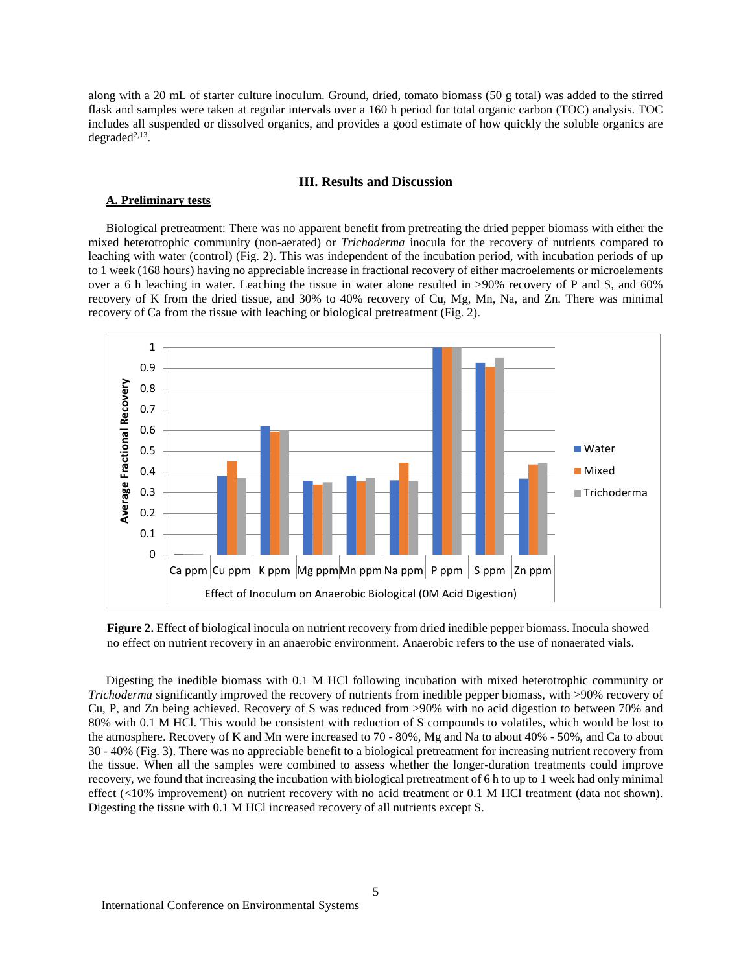along with a 20 mL of starter culture inoculum. Ground, dried, tomato biomass (50 g total) was added to the stirred flask and samples were taken at regular intervals over a 160 h period for total organic carbon (TOC) analysis. TOC includes all suspended or dissolved organics, and provides a good estimate of how quickly the soluble organics are  $degraded<sup>2,13</sup>$ .

## **III. Results and Discussion**

## **A. Preliminary tests**

Biological pretreatment: There was no apparent benefit from pretreating the dried pepper biomass with either the mixed heterotrophic community (non-aerated) or *Trichoderma* inocula for the recovery of nutrients compared to leaching with water (control) (Fig. 2). This was independent of the incubation period, with incubation periods of up to 1 week (168 hours) having no appreciable increase in fractional recovery of either macroelements or microelements over a 6 h leaching in water. Leaching the tissue in water alone resulted in >90% recovery of P and S, and 60% recovery of K from the dried tissue, and 30% to 40% recovery of Cu, Mg, Mn, Na, and Zn. There was minimal recovery of Ca from the tissue with leaching or biological pretreatment (Fig. 2).



**Figure 2.** Effect of biological inocula on nutrient recovery from dried inedible pepper biomass. Inocula showed no effect on nutrient recovery in an anaerobic environment. Anaerobic refers to the use of nonaerated vials.

Digesting the inedible biomass with 0.1 M HCl following incubation with mixed heterotrophic community or *Trichoderma* significantly improved the recovery of nutrients from inedible pepper biomass, with >90% recovery of Cu, P, and Zn being achieved. Recovery of S was reduced from >90% with no acid digestion to between 70% and 80% with 0.1 M HCl. This would be consistent with reduction of S compounds to volatiles, which would be lost to the atmosphere. Recovery of K and Mn were increased to 70 - 80%, Mg and Na to about 40% - 50%, and Ca to about 30 - 40% (Fig. 3). There was no appreciable benefit to a biological pretreatment for increasing nutrient recovery from the tissue. When all the samples were combined to assess whether the longer-duration treatments could improve recovery, we found that increasing the incubation with biological pretreatment of 6 h to up to 1 week had only minimal effect (<10% improvement) on nutrient recovery with no acid treatment or 0.1 M HCl treatment (data not shown). Digesting the tissue with 0.1 M HCl increased recovery of all nutrients except S.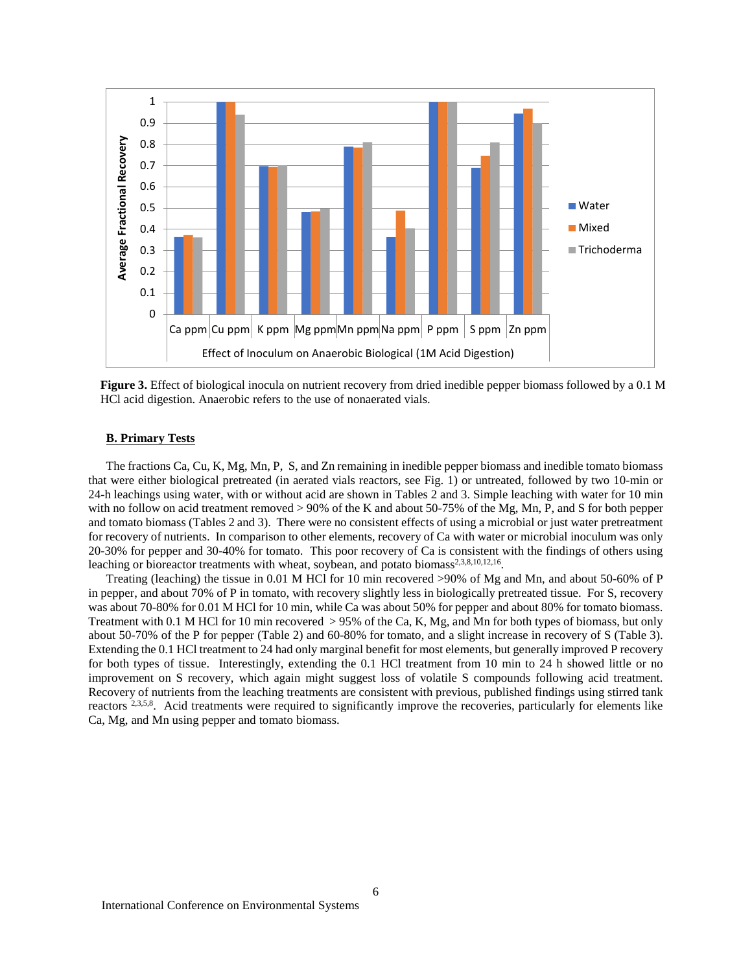

**Figure 3.** Effect of biological inocula on nutrient recovery from dried inedible pepper biomass followed by a 0.1 M HCl acid digestion. Anaerobic refers to the use of nonaerated vials.

# **B. Primary Tests**

The fractions Ca, Cu, K, Mg, Mn, P, S, and Zn remaining in inedible pepper biomass and inedible tomato biomass that were either biological pretreated (in aerated vials reactors, see Fig. 1) or untreated, followed by two 10-min or 24-h leachings using water, with or without acid are shown in Tables 2 and 3. Simple leaching with water for 10 min with no follow on acid treatment removed  $> 90\%$  of the K and about 50-75% of the Mg, Mn, P, and S for both pepper and tomato biomass (Tables 2 and 3). There were no consistent effects of using a microbial or just water pretreatment for recovery of nutrients. In comparison to other elements, recovery of Ca with water or microbial inoculum was only 20-30% for pepper and 30-40% for tomato. This poor recovery of Ca is consistent with the findings of others using leaching or bioreactor treatments with wheat, soybean, and potato biomass<sup>2,3,8,10,12,16</sup>.

Treating (leaching) the tissue in 0.01 M HCl for 10 min recovered >90% of Mg and Mn, and about 50-60% of P in pepper, and about 70% of P in tomato, with recovery slightly less in biologically pretreated tissue. For S, recovery was about 70-80% for 0.01 M HCl for 10 min, while Ca was about 50% for pepper and about 80% for tomato biomass. Treatment with 0.1 M HCl for 10 min recovered > 95% of the Ca, K, Mg, and Mn for both types of biomass, but only about 50-70% of the P for pepper (Table 2) and 60-80% for tomato, and a slight increase in recovery of S (Table 3). Extending the 0.1 HCl treatment to 24 had only marginal benefit for most elements, but generally improved P recovery for both types of tissue. Interestingly, extending the 0.1 HCl treatment from 10 min to 24 h showed little or no improvement on S recovery, which again might suggest loss of volatile S compounds following acid treatment. Recovery of nutrients from the leaching treatments are consistent with previous, published findings using stirred tank reactors <sup>2,3,5,8</sup>. Acid treatments were required to significantly improve the recoveries, particularly for elements like Ca, Mg, and Mn using pepper and tomato biomass.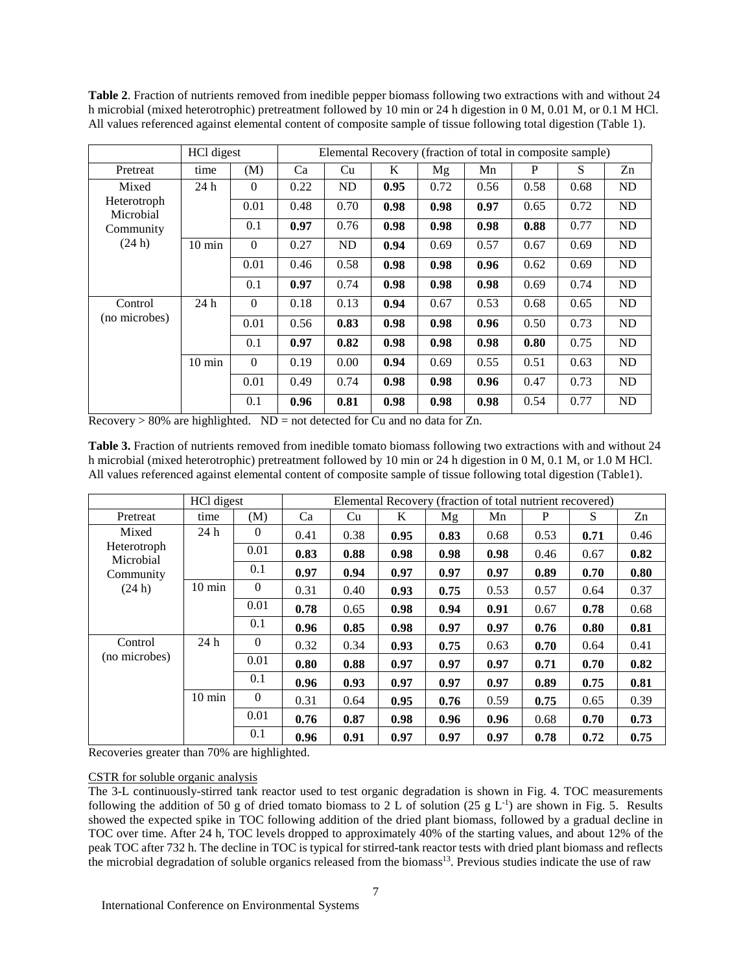|                          | HCl digest<br>Elemental Recovery (fraction of total in composite sample) |          |      |           |      |      |      |      |      |    |
|--------------------------|--------------------------------------------------------------------------|----------|------|-----------|------|------|------|------|------|----|
| Pretreat                 | time                                                                     | (M)      | Ca   | Cu        | K    | Mg   | Mn   | P    | S    | Zn |
| Mixed                    | 24 h                                                                     | $\Omega$ | 0.22 | ND        | 0.95 | 0.72 | 0.56 | 0.58 | 0.68 | ND |
| Heterotroph<br>Microbial |                                                                          | 0.01     | 0.48 | 0.70      | 0.98 | 0.98 | 0.97 | 0.65 | 0.72 | ND |
| Community                |                                                                          | 0.1      | 0.97 | 0.76      | 0.98 | 0.98 | 0.98 | 0.88 | 0.77 | ND |
| (24 h)                   | $10 \text{ min}$                                                         | $\Omega$ | 0.27 | <b>ND</b> | 0.94 | 0.69 | 0.57 | 0.67 | 0.69 | ND |
|                          |                                                                          | 0.01     | 0.46 | 0.58      | 0.98 | 0.98 | 0.96 | 0.62 | 0.69 | ND |
|                          |                                                                          | 0.1      | 0.97 | 0.74      | 0.98 | 0.98 | 0.98 | 0.69 | 0.74 | ND |
| Control                  | 24h                                                                      | $\theta$ | 0.18 | 0.13      | 0.94 | 0.67 | 0.53 | 0.68 | 0.65 | ND |
| (no microbes)            |                                                                          | 0.01     | 0.56 | 0.83      | 0.98 | 0.98 | 0.96 | 0.50 | 0.73 | ND |
|                          |                                                                          | 0.1      | 0.97 | 0.82      | 0.98 | 0.98 | 0.98 | 0.80 | 0.75 | ND |
|                          | $10 \text{ min}$                                                         | $\theta$ | 0.19 | 0.00      | 0.94 | 0.69 | 0.55 | 0.51 | 0.63 | ND |
|                          |                                                                          | 0.01     | 0.49 | 0.74      | 0.98 | 0.98 | 0.96 | 0.47 | 0.73 | ND |
|                          |                                                                          | 0.1      | 0.96 | 0.81      | 0.98 | 0.98 | 0.98 | 0.54 | 0.77 | ND |

**Table 2**. Fraction of nutrients removed from inedible pepper biomass following two extractions with and without 24 h microbial (mixed heterotrophic) pretreatment followed by 10 min or 24 h digestion in 0 M, 0.01 M, or 0.1 M HCl. All values referenced against elemental content of composite sample of tissue following total digestion (Table 1).

 $Recovers > 80\%$  are highlighted. ND = not detected for Cu and no data for Zn.

**Table 3.** Fraction of nutrients removed from inedible tomato biomass following two extractions with and without 24 h microbial (mixed heterotrophic) pretreatment followed by 10 min or 24 h digestion in 0 M, 0.1 M, or 1.0 M HCl. All values referenced against elemental content of composite sample of tissue following total digestion (Table1).

|                          | Elemental Recovery (fraction of total nutrient recovered) |                |      |      |      |      |      |      |      |      |
|--------------------------|-----------------------------------------------------------|----------------|------|------|------|------|------|------|------|------|
| Pretreat                 | time                                                      | (M)            | Ca   | Cu   | K    | Mg   | Mn   | P    | S    | Zn   |
| Mixed                    | 24 h                                                      | $\overline{0}$ | 0.41 | 0.38 | 0.95 | 0.83 | 0.68 | 0.53 | 0.71 | 0.46 |
| Heterotroph<br>Microbial |                                                           | 0.01           | 0.83 | 0.88 | 0.98 | 0.98 | 0.98 | 0.46 | 0.67 | 0.82 |
| Community                |                                                           | 0.1            | 0.97 | 0.94 | 0.97 | 0.97 | 0.97 | 0.89 | 0.70 | 0.80 |
| (24 h)                   | $10 \text{ min}$                                          | $\theta$       | 0.31 | 0.40 | 0.93 | 0.75 | 0.53 | 0.57 | 0.64 | 0.37 |
|                          |                                                           | 0.01           | 0.78 | 0.65 | 0.98 | 0.94 | 0.91 | 0.67 | 0.78 | 0.68 |
|                          |                                                           | 0.1            | 0.96 | 0.85 | 0.98 | 0.97 | 0.97 | 0.76 | 0.80 | 0.81 |
| Control                  | 24h                                                       | $\overline{0}$ | 0.32 | 0.34 | 0.93 | 0.75 | 0.63 | 0.70 | 0.64 | 0.41 |
| (no microbes)            |                                                           | 0.01           | 0.80 | 0.88 | 0.97 | 0.97 | 0.97 | 0.71 | 0.70 | 0.82 |
|                          |                                                           | 0.1            | 0.96 | 0.93 | 0.97 | 0.97 | 0.97 | 0.89 | 0.75 | 0.81 |
|                          | $10 \text{ min}$                                          | $\theta$       | 0.31 | 0.64 | 0.95 | 0.76 | 0.59 | 0.75 | 0.65 | 0.39 |
|                          |                                                           | 0.01           | 0.76 | 0.87 | 0.98 | 0.96 | 0.96 | 0.68 | 0.70 | 0.73 |
|                          |                                                           | 0.1            | 0.96 | 0.91 | 0.97 | 0.97 | 0.97 | 0.78 | 0.72 | 0.75 |

Recoveries greater than 70% are highlighted.

# CSTR for soluble organic analysis

The 3-L continuously-stirred tank reactor used to test organic degradation is shown in Fig. 4. TOC measurements following the addition of 50 g of dried tomato biomass to 2 L of solution  $(25 \text{ g L}^{-1})$  are shown in Fig. 5. Results showed the expected spike in TOC following addition of the dried plant biomass, followed by a gradual decline in TOC over time. After 24 h, TOC levels dropped to approximately 40% of the starting values, and about 12% of the peak TOC after 732 h. The decline in TOC is typical for stirred-tank reactor tests with dried plant biomass and reflects the microbial degradation of soluble organics released from the biomass<sup>13</sup>. Previous studies indicate the use of raw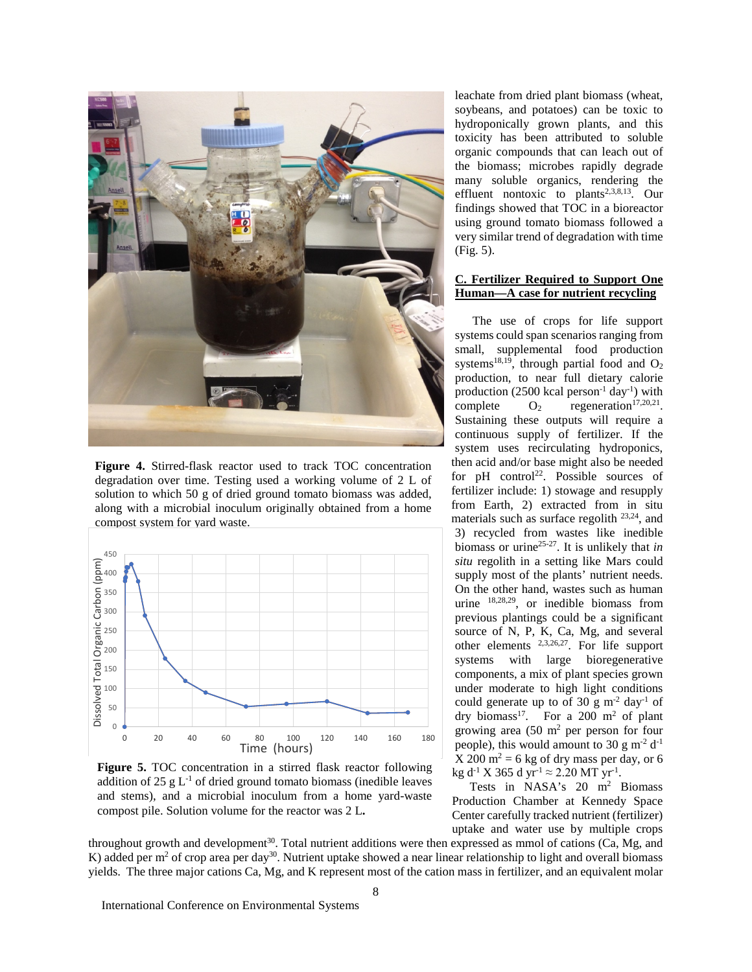

**Figure 4.** Stirred-flask reactor used to track TOC concentration degradation over time. Testing used a working volume of 2 L of solution to which 50 g of dried ground tomato biomass was added, along with a microbial inoculum originally obtained from a home compost system for yard waste.



**Figure 5.** TOC concentration in a stirred flask reactor following addition of 25 g  $L^{-1}$  of dried ground tomato biomass (inedible leaves and stems), and a microbial inoculum from a home yard-waste compost pile. Solution volume for the reactor was 2 L**.**

leachate from dried plant biomass (wheat, soybeans, and potatoes) can be toxic to hydroponically grown plants, and this toxicity has been attributed to soluble organic compounds that can leach out of the biomass; microbes rapidly degrade many soluble organics, rendering the effluent nontoxic to plants<sup>2,3,8,13</sup>. Our findings showed that TOC in a bioreactor using ground tomato biomass followed a very similar trend of degradation with time (Fig. 5).

# **C. Fertilizer Required to Support One Human—A case for nutrient recycling**

The use of crops for life support systems could span scenarios ranging from small, supplemental food production systems<sup>18,19</sup>, through partial food and  $O_2$ production, to near full dietary calorie production (2500 kcal person<sup>-1</sup> day<sup>-1</sup>) with complete  $O_2$  regeneration<sup>17,20,21</sup>. Sustaining these outputs will require a continuous supply of fertilizer. If the system uses recirculating hydroponics, then acid and/or base might also be needed for  $pH$  control<sup>22</sup>. Possible sources of fertilizer include: 1) stowage and resupply from Earth, 2) extracted from in situ materials such as surface regolith 23,24, and 3) recycled from wastes like inedible biomass or urine25-27. It is unlikely that *in situ* regolith in a setting like Mars could supply most of the plants' nutrient needs. On the other hand, wastes such as human urine <sup>18,28,29</sup>, or inedible biomass from previous plantings could be a significant source of N, P, K, Ca, Mg, and several other elements 2,3,26,27. For life support systems with large bioregenerative components, a mix of plant species grown under moderate to high light conditions could generate up to of  $30 \text{ g m}^2$  day<sup>-1</sup> of dry biomass<sup>17</sup>. For a 200 m<sup>2</sup> of plant growing area  $(50 \text{ m}^2 \text{ per person for four})$ people), this would amount to 30 g m<sup>-2</sup>  $d^{-1}$  $X 200$  m<sup>2</sup> = 6 kg of dry mass per day, or 6  $kg d^{-1} X 365 d yr^{-1} \approx 2.20 MT yr^{-1}$ .

Tests in NASA's  $20 \text{ m}^2$  Biomass Production Chamber at Kennedy Space Center carefully tracked nutrient (fertilizer) uptake and water use by multiple crops

throughout growth and development<sup>30</sup>. Total nutrient additions were then expressed as mmol of cations (Ca, Mg, and K) added per m<sup>2</sup> of crop area per day<sup>30</sup>. Nutrient uptake showed a near linear relationship to light and overall biomass yields. The three major cations Ca, Mg, and K represent most of the cation mass in fertilizer, and an equivalent molar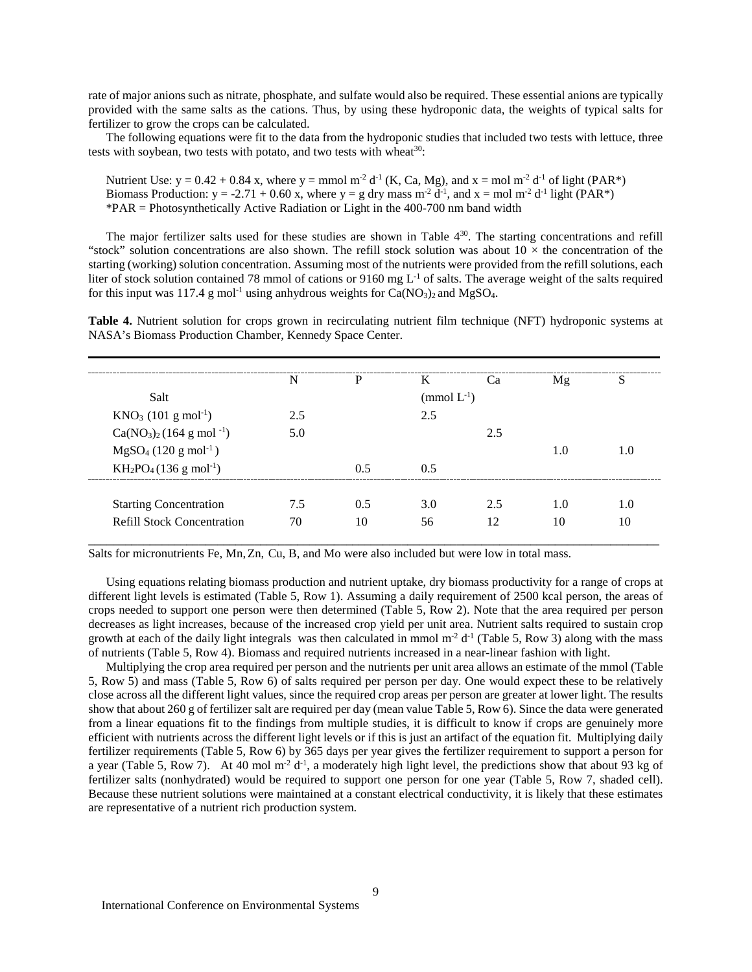rate of major anions such as nitrate, phosphate, and sulfate would also be required. These essential anions are typically provided with the same salts as the cations. Thus, by using these hydroponic data, the weights of typical salts for fertilizer to grow the crops can be calculated.

The following equations were fit to the data from the hydroponic studies that included two tests with lettuce, three tests with soybean, two tests with potato, and two tests with wheat $^{30}$ :

Nutrient Use:  $y = 0.42 + 0.84$  x, where  $y =$  mmol m<sup>-2</sup> d<sup>-1</sup> (K, Ca, Mg), and  $x =$  mol m<sup>-2</sup> d<sup>-1</sup> of light (PAR<sup>\*</sup>) Biomass Production:  $y = -2.71 + 0.60$  x, where  $y = g$  dry mass  $m^2 d^{-1}$ , and  $x = mol m^2 d^{-1}$  light (PAR\*) \*PAR = Photosynthetically Active Radiation or Light in the 400-700 nm band width

The major fertilizer salts used for these studies are shown in Table  $4^{30}$ . The starting concentrations and refill "stock" solution concentrations are also shown. The refill stock solution was about  $10 \times$  the concentration of the starting (working) solution concentration. Assuming most of the nutrients were provided from the refill solutions, each liter of stock solution contained 78 mmol of cations or 9160 mg  $L^{-1}$  of salts. The average weight of the salts required for this input was 117.4 g mol<sup>-1</sup> using anhydrous weights for  $Ca(NO<sub>3</sub>)<sub>2</sub>$  and MgSO<sub>4</sub>.

**Table 4.** Nutrient solution for crops grown in recirculating nutrient film technique (NFT) hydroponic systems at NASA's Biomass Production Chamber, Kennedy Space Center.

|                                     | N   | P   | K                | Ca  | Mg  | S   |
|-------------------------------------|-----|-----|------------------|-----|-----|-----|
| Salt                                |     |     | (mmol $L^{-1}$ ) |     |     |     |
| $KNO_3$ (101 g mol <sup>-1</sup> )  | 2.5 |     | 2.5              |     |     |     |
| $Ca(NO3)2(164 g mol-1)$             | 5.0 |     |                  | 2.5 |     |     |
| $MgSO_4$ (120 g mol <sup>-1</sup> ) |     |     |                  |     | 1.0 | 1.0 |
| $KH_2PO_4(136 g mol^{-1})$          |     | 0.5 | 0.5              |     |     |     |
|                                     |     |     |                  |     |     |     |
| <b>Starting Concentration</b>       | 7.5 | 0.5 | 3.0              | 2.5 | 1.0 | 1.0 |
| <b>Refill Stock Concentration</b>   | 70  | 10  | 56               | 12  | 10  | 10  |

Salts for micronutrients Fe, Mn,Zn, Cu, B, and Mo were also included but were low in total mass.

Using equations relating biomass production and nutrient uptake, dry biomass productivity for a range of crops at different light levels is estimated (Table 5, Row 1). Assuming a daily requirement of 2500 kcal person, the areas of crops needed to support one person were then determined (Table 5, Row 2). Note that the area required per person decreases as light increases, because of the increased crop yield per unit area. Nutrient salts required to sustain crop growth at each of the daily light integrals was then calculated in mmol  $m<sup>2</sup> d<sup>-1</sup>$  (Table 5, Row 3) along with the mass of nutrients (Table 5, Row 4). Biomass and required nutrients increased in a near-linear fashion with light.

Multiplying the crop area required per person and the nutrients per unit area allows an estimate of the mmol (Table 5, Row 5) and mass (Table 5, Row 6) of salts required per person per day. One would expect these to be relatively close across all the different light values, since the required crop areas per person are greater at lower light. The results show that about 260 g of fertilizer salt are required per day (mean value Table 5, Row 6). Since the data were generated from a linear equations fit to the findings from multiple studies, it is difficult to know if crops are genuinely more efficient with nutrients across the different light levels or if this is just an artifact of the equation fit. Multiplying daily fertilizer requirements (Table 5, Row 6) by 365 days per year gives the fertilizer requirement to support a person for a year (Table 5, Row 7). At 40 mol m<sup>-2</sup>  $d^{-1}$ , a moderately high light level, the predictions show that about 93 kg of fertilizer salts (nonhydrated) would be required to support one person for one year (Table 5, Row 7, shaded cell). Because these nutrient solutions were maintained at a constant electrical conductivity, it is likely that these estimates are representative of a nutrient rich production system.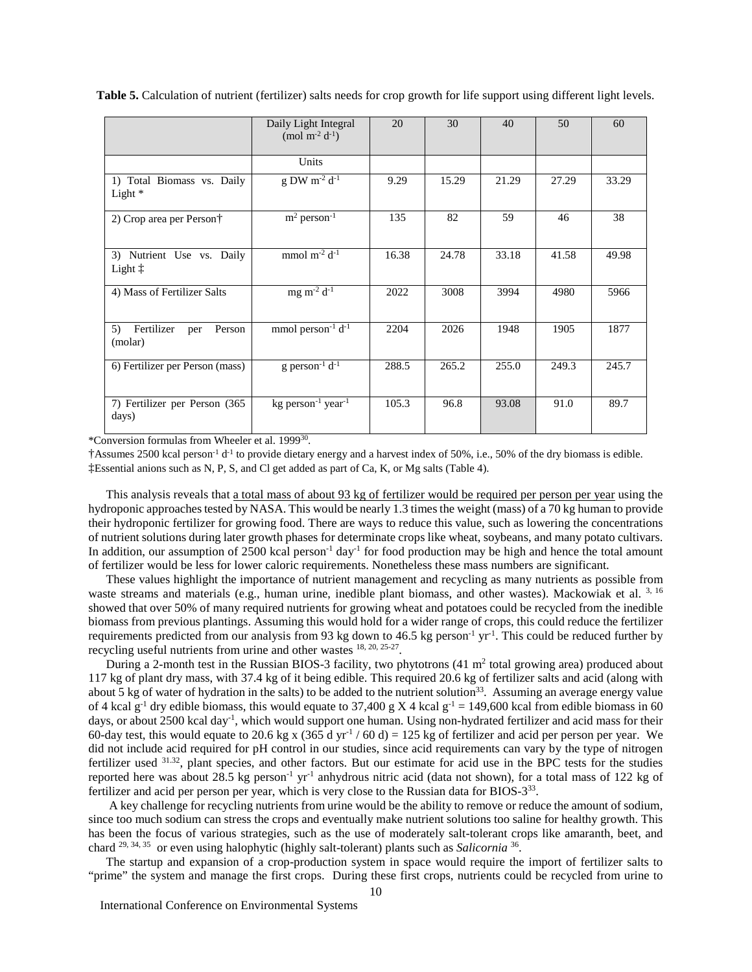**Table 5.** Calculation of nutrient (fertilizer) salts needs for crop growth for life support using different light levels.

|                                               | Daily Light Integral<br>(mol m <sup>-2</sup> $d^{-1}$ ) | 20    | 30    | 40    | 50    | 60    |
|-----------------------------------------------|---------------------------------------------------------|-------|-------|-------|-------|-------|
|                                               | Units                                                   |       |       |       |       |       |
| 1) Total Biomass vs. Daily<br>Light $*$       | g DW $m^{-2}$ d <sup>-1</sup>                           | 9.29  | 15.29 | 21.29 | 27.29 | 33.29 |
| 2) Crop area per Person <sup>†</sup>          | $m2 person-1$                                           | 135   | 82    | 59    | 46    | 38    |
| 3) Nutrient Use vs. Daily<br>Light $\ddagger$ | mmol $m^{-2}$ d <sup>-1</sup>                           | 16.38 | 24.78 | 33.18 | 41.58 | 49.98 |
| 4) Mass of Fertilizer Salts                   | mg m <sup>-2</sup> $d^{-1}$                             | 2022  | 3008  | 3994  | 4980  | 5966  |
| Fertilizer<br>5)<br>Person<br>per<br>(molar)  | mmol person $-1 d-1$                                    | 2204  | 2026  | 1948  | 1905  | 1877  |
| 6) Fertilizer per Person (mass)               | g person <sup>-1</sup> $d^{-1}$                         | 288.5 | 265.2 | 255.0 | 249.3 | 245.7 |
| 7) Fertilizer per Person (365<br>days)        | $kg$ person <sup>-1</sup> year <sup>-1</sup>            | 105.3 | 96.8  | 93.08 | 91.0  | 89.7  |

\*Conversion formulas from Wheeler et al. 199930.

†Assumes 2500 kcal person-1 d-1 to provide dietary energy and a harvest index of 50%, i.e., 50% of the dry biomass is edible. ‡Essential anions such as N, P, S, and Cl get added as part of Ca, K, or Mg salts (Table 4).

This analysis reveals that a total mass of about 93 kg of fertilizer would be required per person per year using the hydroponic approaches tested by NASA. This would be nearly 1.3 times the weight (mass) of a 70 kg human to provide their hydroponic fertilizer for growing food. There are ways to reduce this value, such as lowering the concentrations of nutrient solutions during later growth phases for determinate crops like wheat, soybeans, and many potato cultivars. In addition, our assumption of 2500 kcal person<sup>-1</sup> day<sup>-1</sup> for food production may be high and hence the total amount of fertilizer would be less for lower caloric requirements. Nonetheless these mass numbers are significant.

These values highlight the importance of nutrient management and recycling as many nutrients as possible from waste streams and materials (e.g., human urine, inedible plant biomass, and other wastes). Mackowiak et al. 3, 16 showed that over 50% of many required nutrients for growing wheat and potatoes could be recycled from the inedible biomass from previous plantings. Assuming this would hold for a wider range of crops, this could reduce the fertilizer requirements predicted from our analysis from 93 kg down to 46.5 kg person<sup>-1</sup> yr<sup>-1</sup>. This could be reduced further by recycling useful nutrients from urine and other wastes 18, 20, 25-27.

During a 2-month test in the Russian BIOS-3 facility, two phytotrons  $(41 \text{ m}^2 \text{ total growing area})$  produced about 117 kg of plant dry mass, with 37.4 kg of it being edible. This required 20.6 kg of fertilizer salts and acid (along with about 5 kg of water of hydration in the salts) to be added to the nutrient solution<sup>33</sup>. Assuming an average energy value of 4 kcal  $g^{-1}$  dry edible biomass, this would equate to 37,400 g X 4 kcal  $g^{-1} = 149,600$  kcal from edible biomass in 60 days, or about 2500 kcal day<sup>-1</sup>, which would support one human. Using non-hydrated fertilizer and acid mass for their 60-day test, this would equate to 20.6 kg x (365 d yr<sup>-1</sup> / 60 d) = 125 kg of fertilizer and acid per person per year. We did not include acid required for pH control in our studies, since acid requirements can vary by the type of nitrogen fertilizer used  $31.32$ , plant species, and other factors. But our estimate for acid use in the BPC tests for the studies reported here was about 28.5 kg person<sup>-1</sup> yr<sup>-1</sup> anhydrous nitric acid (data not shown), for a total mass of 122 kg of fertilizer and acid per person per year, which is very close to the Russian data for BIOS-333.

A key challenge for recycling nutrients from urine would be the ability to remove or reduce the amount of sodium, since too much sodium can stress the crops and eventually make nutrient solutions too saline for healthy growth. This has been the focus of various strategies, such as the use of moderately salt-tolerant crops like amaranth, beet, and chard 29, 34, 35 or even using halophytic (highly salt-tolerant) plants such as *Salicornia* 36.

The startup and expansion of a crop-production system in space would require the import of fertilizer salts to "prime" the system and manage the first crops. During these first crops, nutrients could be recycled from urine to

International Conference on Environmental Systems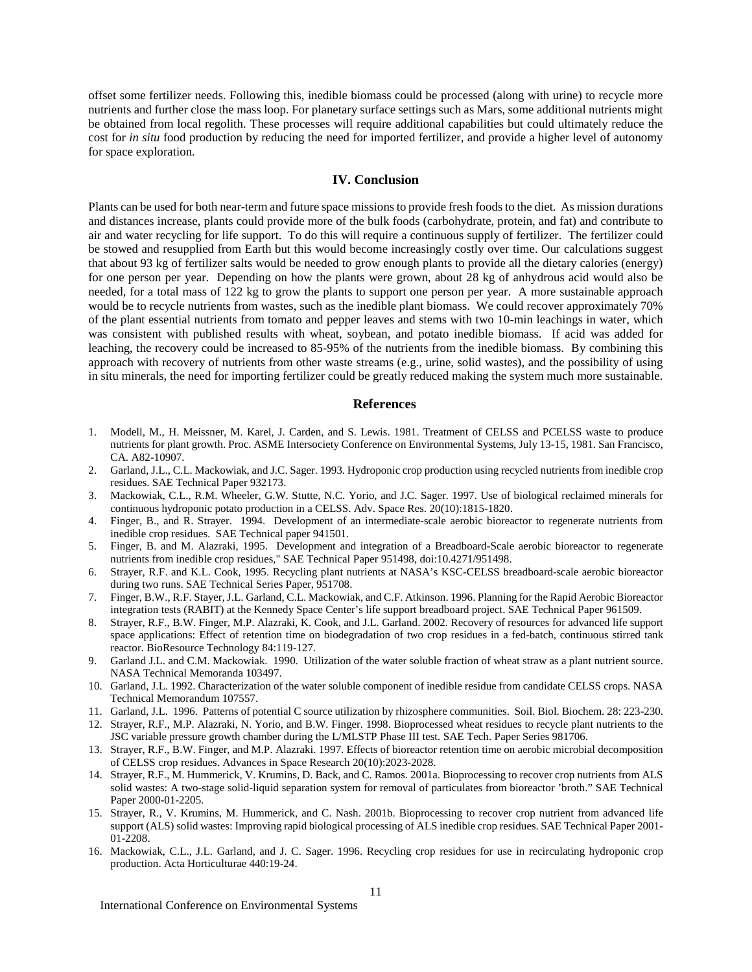offset some fertilizer needs. Following this, inedible biomass could be processed (along with urine) to recycle more nutrients and further close the mass loop. For planetary surface settings such as Mars, some additional nutrients might be obtained from local regolith. These processes will require additional capabilities but could ultimately reduce the cost for *in situ* food production by reducing the need for imported fertilizer, and provide a higher level of autonomy for space exploration.

# **IV. Conclusion**

Plants can be used for both near-term and future space missions to provide fresh foods to the diet. As mission durations and distances increase, plants could provide more of the bulk foods (carbohydrate, protein, and fat) and contribute to air and water recycling for life support. To do this will require a continuous supply of fertilizer. The fertilizer could be stowed and resupplied from Earth but this would become increasingly costly over time. Our calculations suggest that about 93 kg of fertilizer salts would be needed to grow enough plants to provide all the dietary calories (energy) for one person per year. Depending on how the plants were grown, about 28 kg of anhydrous acid would also be needed, for a total mass of 122 kg to grow the plants to support one person per year. A more sustainable approach would be to recycle nutrients from wastes, such as the inedible plant biomass. We could recover approximately 70% of the plant essential nutrients from tomato and pepper leaves and stems with two 10-min leachings in water, which was consistent with published results with wheat, soybean, and potato inedible biomass. If acid was added for leaching, the recovery could be increased to 85-95% of the nutrients from the inedible biomass. By combining this approach with recovery of nutrients from other waste streams (e.g., urine, solid wastes), and the possibility of using in situ minerals, the need for importing fertilizer could be greatly reduced making the system much more sustainable.

# **References**

- 1. Modell, M., H. Meissner, M. Karel, J. Carden, and S. Lewis. 1981. Treatment of CELSS and PCELSS waste to produce nutrients for plant growth. Proc. ASME Intersociety Conference on Environmental Systems, July 13-15, 1981. San Francisco, CA. A82-10907.
- 2. Garland, J.L., C.L. Mackowiak, and J.C. Sager. 1993. Hydroponic crop production using recycled nutrients from inedible crop residues. SAE Technical Paper 932173.
- 3. Mackowiak, C.L., R.M. Wheeler, G.W. Stutte, N.C. Yorio, and J.C. Sager. 1997. Use of biological reclaimed minerals for continuous hydroponic potato production in a CELSS. Adv. Space Res. 20(10):1815-1820.
- 4. Finger, B., and R. Strayer. 1994. Development of an intermediate-scale aerobic bioreactor to regenerate nutrients from inedible crop residues. SAE Technical paper 941501.
- 5. Finger, B. and M. Alazraki, 1995. Development and integration of a Breadboard-Scale aerobic bioreactor to regenerate nutrients from inedible crop residues," SAE Technical Paper 951498, doi:10.4271/951498.
- 6. Strayer, R.F. and K.L. Cook, 1995. Recycling plant nutrients at NASA's KSC-CELSS breadboard-scale aerobic bioreactor during two runs. SAE Technical Series Paper, 951708.
- 7. Finger, B.W., R.F. Stayer, J.L. Garland, C.L. Mackowiak, and C.F. Atkinson. 1996. Planning for the Rapid Aerobic Bioreactor integration tests (RABIT) at the Kennedy Space Center's life support breadboard project. SAE Technical Paper 961509.
- 8. Strayer, R.F., B.W. Finger, M.P. Alazraki, K. Cook, and J.L. Garland. 2002. Recovery of resources for advanced life support space applications: Effect of retention time on biodegradation of two crop residues in a fed-batch, continuous stirred tank reactor. BioResource Technology 84:119-127.
- 9. Garland J.L. and C.M. Mackowiak. 1990. Utilization of the water soluble fraction of wheat straw as a plant nutrient source. NASA Technical Memoranda 103497.
- 10. Garland, J.L. 1992. Characterization of the water soluble component of inedible residue from candidate CELSS crops. NASA Technical Memorandum 107557.
- 11. Garland, J.L. 1996. Patterns of potential C source utilization by rhizosphere communities. Soil. Biol. Biochem. 28: 223-230.
- 12. Strayer, R.F., M.P. Alazraki, N. Yorio, and B.W. Finger. 1998. Bioprocessed wheat residues to recycle plant nutrients to the JSC variable pressure growth chamber during the L/MLSTP Phase III test. SAE Tech. Paper Series 981706.
- 13. Strayer, R.F., B.W. Finger, and M.P. Alazraki. 1997. Effects of bioreactor retention time on aerobic microbial decomposition of CELSS crop residues. Advances in Space Research 20(10):2023-2028.
- 14. Strayer, R.F., M. Hummerick, V. Krumins, D. Back, and C. Ramos. 2001a. Bioprocessing to recover crop nutrients from ALS solid wastes: A two-stage solid-liquid separation system for removal of particulates from bioreactor 'broth." SAE Technical Paper 2000-01-2205.
- 15. Strayer, R., V. Krumins, M. Hummerick, and C. Nash. 2001b. Bioprocessing to recover crop nutrient from advanced life support (ALS) solid wastes: Improving rapid biological processing of ALS inedible crop residues. SAE Technical Paper 2001- 01-2208.
- 16. Mackowiak, C.L., J.L. Garland, and J. C. Sager. 1996. Recycling crop residues for use in recirculating hydroponic crop production. Acta Horticulturae 440:19-24.